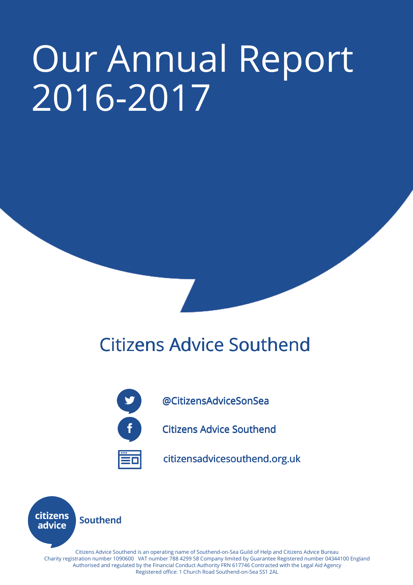# Our Annual Report 2016-2017

## **Citizens Advice Southend**



@CitizensAdviceSonSea @CitizensAdviceSonSea

**Citizens Advice Southend** 



citizensadvicesouthend.org.uk



 Authorised and regulated by the Financial Conduct Authority FRN 617746 Contracted with the Legal Aid Agency Citizens Advice Southend is an operating name of Southend-on-Sea Guild of Help and Citizens Advice Bureau Charity registration number 1090600 VAT number 788 4299 58 Company limited by Guarantee Registered number 04344100 England Registered office: 1 Church Road Southend-on-Sea SS1 2AL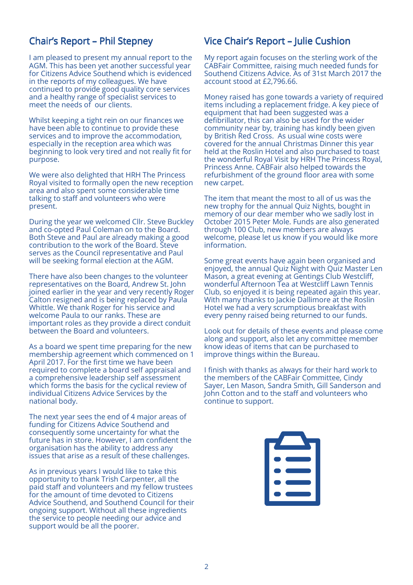## Chair's Report – Phil Stepney

I am pleased to present my annual report to the AGM. This has been yet another successful year for Citizens Advice Southend which is evidenced in the reports of my colleagues. We have continued to provide good quality core services and a healthy range of specialist services to meet the needs of our clients.

Whilst keeping a tight rein on our finances we have been able to continue to provide these services and to improve the accommodation, especially in the reception area which was beginning to look very tired and not really fit for purpose.

We were also delighted that HRH The Princess Royal visited to formally open the new reception area and also spent some considerable time talking to staff and volunteers who were present.

During the year we welcomed Cllr. Steve Buckley and co-opted Paul Coleman on to the Board. Both Steve and Paul are already making a good contribution to the work of the Board. Steve serves as the Council representative and Paul will be seeking formal election at the AGM.

There have also been changes to the volunteer representatives on the Board, Andrew St. John joined earlier in the year and very recently Roger Calton resigned and is being replaced by Paula Whittle. We thank Roger for his service and welcome Paula to our ranks. These are important roles as they provide a direct conduit between the Board and volunteers.

As a board we spent time preparing for the new membership agreement which commenced on 1 April 2017. For the first time we have been required to complete a board self appraisal and a comprehensive leadership self assessment which forms the basis for the cyclical review of individual Citizens Advice Services by the national body.

The next year sees the end of 4 major areas of funding for Citizens Advice Southend and consequently some uncertainty for what the future has in store. However, I am confident the organisation has the ability to address any issues that arise as a result of these challenges.

As in previous years I would like to take this opportunity to thank Trish Carpenter, all the paid staff and volunteers and my fellow trustees for the amount of time devoted to Citizens Advice Southend, and Southend Council for their ongoing support. Without all these ingredients the service to people needing our advice and support would be all the poorer.

## Vice Chair's Report – Julie Cushion

My report again focuses on the sterling work of the CABFair Committee, raising much needed funds for Southend Citizens Advice. As of 31st March 2017 the account stood at £2,796.66.

Money raised has gone towards a variety of required items including a replacement fridge. A key piece of equipment that had been suggested was a defibrillator, this can also be used for the wider community near by, training has kindly been given by British Red Cross. As usual wine costs were covered for the annual Christmas Dinner this year held at the Roslin Hotel and also purchased to toast the wonderful Royal Visit by HRH The Princess Royal, Princess Anne. CABFair also helped towards the refurbishment of the ground floor area with some new carpet.

The item that meant the most to all of us was the new trophy for the annual Quiz Nights, bought in memory of our dear member who we sadly lost in October 2015 Peter Mole. Funds are also generated through 100 Club, new members are always welcome, please let us know if you would like more information.

Some great events have again been organised and enjoyed, the annual Quiz Night with Quiz Master Len Mason, a great evening at Gentings Club Westcliff, wonderful Afternoon Tea at Westcliff Lawn Tennis Club, so enjoyed it is being repeated again this year. With many thanks to Jackie Dallimore at the Roslin Hotel we had a very scrumptious breakfast with every penny raised being returned to our funds.

Look out for details of these events and please come along and support, also let any committee member know ideas of items that can be purchased to improve things within the Bureau.

I finish with thanks as always for their hard work to the members of the CABFair Committee, Cindy Sayer, Len Mason, Sandra Smith, Gill Sanderson and John Cotton and to the staff and volunteers who continue to support.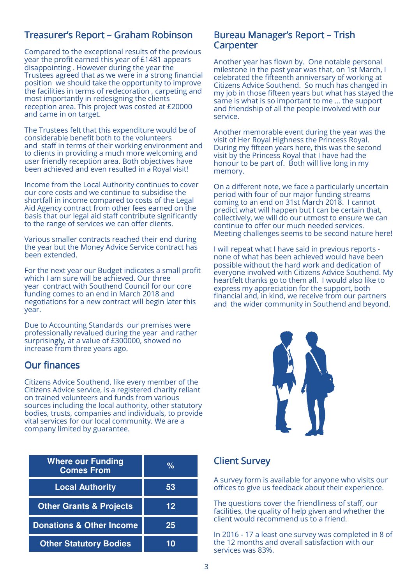## Treasurer's Report – Graham Robinson

Compared to the exceptional results of the previous year the profit earned this year of £1481 appears disappointing . However during the year the Trustees agreed that as we were in a strong financial position we should take the opportunity to improve the facilities in terms of redecoration , carpeting and most importantly in redesigning the clients reception area. This project was costed at £20000 and came in on target.

The Trustees felt that this expenditure would be of considerable benefit both to the volunteers and staff in terms of their working environment and to clients in providing a much more welcoming and user friendly reception area. Both objectives have been achieved and even resulted in a Royal visit!

Income from the Local Authority continues to cover our core costs and we continue to subsidise the shortfall in income compared to costs of the Legal Aid Agency contract from other fees earned on the basis that our legal aid staff contribute significantly to the range of services we can offer clients.

Various smaller contracts reached their end during the year but the Money Advice Service contract has been extended.

For the next year our Budget indicates a small profit which I am sure will be achieved. Our three year contract with Southend Council for our core funding comes to an end in March 2018 and negotiations for a new contract will begin later this year.

Due to Accounting Standards our premises were professionally revalued during the year and rather surprisingly, at a value of £300000, showed no increase from three years ago.

## **Our finances**

Citizens Advice Southend, like every member of the Citizens Advice service, is a registered charity reliant on trained volunteers and funds from various sources including the local authority, other statutory bodies, trusts, companies and individuals, to provide vital services for our local community. We are a company limited by guarantee.

| <b>Where our Funding</b><br><b>Comes From</b> | $\frac{6}{6}$ |
|-----------------------------------------------|---------------|
| <b>Local Authority</b>                        | 53            |
| <b>Other Grants &amp; Projects</b>            | 12            |
| <b>Donations &amp; Other Income</b>           | 25            |
| <b>Other Statutory Bodies</b>                 |               |

#### Bureau Manager's Report - Trish **Carpenter**

Another year has flown by. One notable personal milestone in the past year was that, on 1st March, I celebrated the fifteenth anniversary of working at Citizens Advice Southend. So much has changed in my job in those fifteen years but what has stayed the same is what is so important to me … the support and friendship of all the people involved with our service.

Another memorable event during the year was the visit of Her Royal Highness the Princess Royal. During my fifteen years here, this was the second visit by the Princess Royal that I have had the honour to be part of. Both will live long in my memory.

On a different note, we face a particularly uncertain period with four of our major funding streams coming to an end on 31st March 2018. I cannot predict what will happen but I can be certain that, collectively, we will do our utmost to ensure we can continue to offer our much needed services. Meeting challenges seems to be second nature here!

I will repeat what I have said in previous reports none of what has been achieved would have been possible without the hard work and dedication of everyone involved with Citizens Advice Southend. My heartfelt thanks go to them all. I would also like to express my appreciation for the support, both financial and, in kind, we receive from our partners and the wider community in Southend and beyond.



## Client Survey

A survey form is available for anyone who visits our offices to give us feedback about their experience.

The questions cover the friendliness of staff, our facilities, the quality of help given and whether the client would recommend us to a friend.

In 2016 - 17 a least one survey was completed in 8 of the 12 months and overall satisfaction with our services was 83%.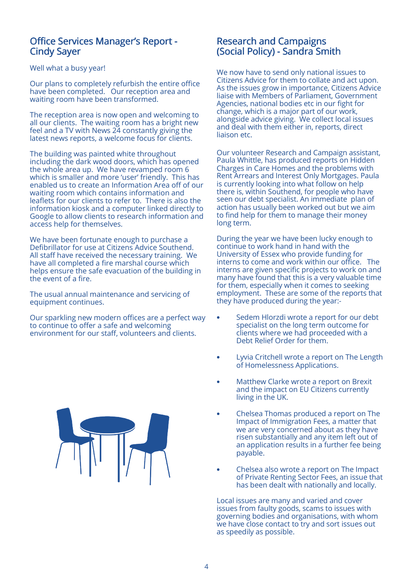### Office Services Manager's Report -Cindy Sayer

#### Well what a busy year!

Our plans to completely refurbish the entire office have been completed. Our reception area and waiting room have been transformed.

The reception area is now open and welcoming to all our clients. The waiting room has a bright new feel and a TV with News 24 constantly giving the latest news reports, a welcome focus for clients.

The building was painted white throughout including the dark wood doors, which has opened the whole area up. We have revamped room 6 which is smaller and more 'user' friendly. This has enabled us to create an Information Area off of our waiting room which contains information and leaflets for our clients to refer to. There is also the information kiosk and a computer linked directly to Google to allow clients to research information and access help for themselves.

We have been fortunate enough to purchase a Defibrillator for use at Citizens Advice Southend. All staff have received the necessary training. We have all completed a fire marshal course which helps ensure the safe evacuation of the building in the event of a fire.

The usual annual maintenance and servicing of equipment continues.

Our sparkling new modern offices are a perfect way to continue to offer a safe and welcoming environment for our staff, volunteers and clients.



## Research and Campaigns (Social Policy) - Sandra Smith

We now have to send only national issues to Citizens Advice for them to collate and act upon. As the issues grow in importance, Citizens Advice liaise with Members of Parliament, Government Agencies, national bodies etc in our fight for change, which is a major part of our work, alongside advice giving. We collect local issues and deal with them either in, reports, direct liaison etc.

Our volunteer Research and Campaign assistant, Paula Whittle, has produced reports on Hidden Charges in Care Homes and the problems with Rent Arrears and Interest Only Mortgages. Paula is currently looking into what follow on help there is, within Southend, for people who have seen our debt specialist. An immediate plan of action has usually been worked out but we aim to find help for them to manage their money long term.

During the year we have been lucky enough to continue to work hand in hand with the University of Essex who provide funding for interns to come and work within our office. The interns are given specific projects to work on and many have found that this is a very valuable time for them, especially when it comes to seeking employment. These are some of the reports that they have produced during the year:-

- Sedem Hlorzdi wrote a report for our debt specialist on the long term outcome for clients where we had proceeded with a Debt Relief Order for them.
- Lyvia Critchell wrote a report on The Length of Homelessness Applications.
- Matthew Clarke wrote a report on Brexit and the impact on EU Citizens currently living in the UK.
- Chelsea Thomas produced a report on The Impact of Immigration Fees, a matter that we are very concerned about as they have risen substantially and any item left out of an application results in a further fee being payable.
- Chelsea also wrote a report on The Impact of Private Renting Sector Fees, an issue that has been dealt with nationally and locally.

Local issues are many and varied and cover issues from faulty goods, scams to issues with governing bodies and organisations, with whom we have close contact to try and sort issues out as speedily as possible.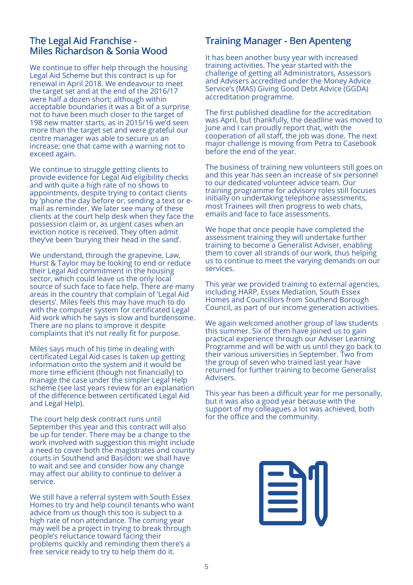## The Legal Aid Franchise -Miles Richardson & Sonia Wood

We continue to offer help through the housing Legal Aid Scheme but this contract is up for renewal in April 2018. We endeavour to meet the target set and at the end of the 2016/17 were half a dozen short; although within acceptable boundaries it was a bit of a surprise not to have been much closer to the target of 198 new matter starts, as in 2015/16 we'd seen more than the target set and were grateful our centre manager was able to secure us an increase; one that came with a warning not to exceed again.

We continue to struggle getting clients to provide evidence for Legal Aid eligibility checks and with quite a high rate of no shows to appointments, despite trying to contact clients by 'phone the day before or, sending a text or email as reminder. We later see many of these clients at the court help desk when they face the possession claim or, as urgent cases when an eviction notice is received. They often admit they've been 'burying their head in the sand'.

We understand, through the grapevine, Law, Hurst & Taylor may be looking to end or reduce their Legal Aid commitment in the housing sector, which could leave us the only local source of such face to face help. There are many areas in the country that complain of 'Legal Aid deserts'. Miles feels this may have much to do with the computer system for certificated Legal Aid work which he says is slow and burdensome. There are no plans to improve it despite complaints that it's not really fit for purpose.

Miles says much of his time in dealing with certificated Legal Aid cases is taken up getting information onto the system and it would be more time efficient (though not financially) to manage the case under the simpler Legal Help scheme (see last years review for an explanation of the difference between certificated Legal Aid and Legal Help).

The court help desk contract runs until September this year and this contract will also be up for tender. There may be a change to the work involved with suggestion this might include a need to cover both the magistrates and county courts in Southend and Basildon: we shall have to wait and see and consider how any change may affect our ability to continue to deliver a service.

We still have a referral system with South Essex Homes to try and help council tenants who want advice from us though this too is subject to a high rate of non attendance. The coming year may well be a project in trying to break through people's reluctance toward facing their problems quickly and reminding them there's a free service ready to try to help them do it.

## Training Manager - Ben Apenteng

It has been another busy year with increased training activities. The year started with the challenge of getting all Administrators, Assessors and Advisers accredited under the Money Advice Service's (MAS) Giving Good Debt Advice (GGDA) accreditation programme.

The first published deadline for the accreditation was April, but thankfully, the deadline was moved to June and I can proudly report that, with the cooperation of all staff, the job was done. The next major challenge is moving from Petra to Casebook before the end of the year.

The business of training new volunteers still goes on and this year has seen an increase of six personnel to our dedicated volunteer advice team. Our training programme for advisory roles still focuses initially on undertaking telephone assessments, most Trainees will then progress to web chats, emails and face to face assessments.

We hope that once people have completed the assessment training they will undertake further training to become a Generalist Adviser, enabling them to cover all strands of our work, thus helping us to continue to meet the varying demands on our services.

This year we provided training to external agencies, including HARP, Essex Mediation, South Essex Homes and Councillors from Southend Borough Council, as part of our income generation activities.

We again welcomed another group of law students this summer. Six of them have joined us to gain practical experience through our Adviser Learning Programme and will be with us until they go back to their various universities in September. Two from the group of seven who trained last year have returned for further training to become Generalist Advisers.

This year has been a difficult year for me personally, but it was also a good year because with the support of my colleagues a lot was achieved, both for the office and the community.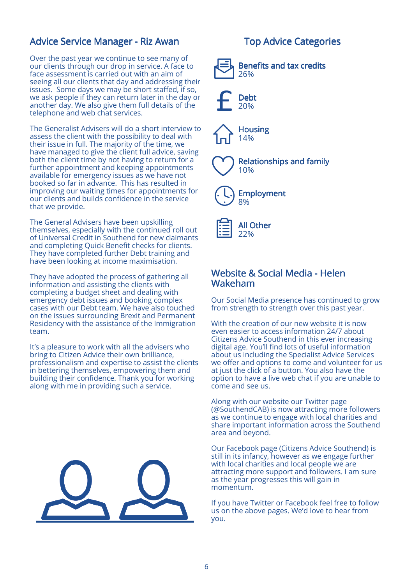## Advice Service Manager - Riz Awan

Over the past year we continue to see many of our clients through our drop in service. A face to face assessment is carried out with an aim of seeing all our clients that day and addressing their issues. Some days we may be short staffed, if so, we ask people if they can return later in the day or another day. We also give them full details of the telephone and web chat services.

The Generalist Advisers will do a short interview to assess the client with the possibility to deal with their issue in full. The majority of the time, we have managed to give the client full advice, saving both the client time by not having to return for a further appointment and keeping appointments available for emergency issues as we have not booked so far in advance. This has resulted in improving our waiting times for appointments for our clients and builds confidence in the service that we provide.

The General Advisers have been upskilling themselves, especially with the continued roll out of Universal Credit in Southend for new claimants and completing Quick Benefit checks for clients. They have completed further Debt training and have been looking at income maximisation.

They have adopted the process of gathering all information and assisting the clients with completing a budget sheet and dealing with emergency debt issues and booking complex cases with our Debt team. We have also touched on the issues surrounding Brexit and Permanent Residency with the assistance of the Immigration team.

It's a pleasure to work with all the advisers who bring to Citizen Advice their own brilliance, professionalism and expertise to assist the clients in bettering themselves, empowering them and building their confidence. Thank you for working along with me in providing such a service.



## **Top Advice Categories**



## Website & Social Media - Helen Wakeham

Our Social Media presence has continued to grow from strength to strength over this past year.

With the creation of our new website it is now even easier to access information 24/7 about Citizens Advice Southend in this ever increasing digital age. You'll find lots of useful information about us including the Specialist Advice Services we offer and options to come and volunteer for us at just the click of a button. You also have the option to have a live web chat if you are unable to come and see us.

Along with our website our Twitter page (@SouthendCAB) is now attracting more followers as we continue to engage with local charities and share important information across the Southend area and beyond.

Our Facebook page (Citizens Advice Southend) is still in its infancy, however as we engage further with local charities and local people we are attracting more support and followers. I am sure as the year progresses this will gain in momentum.

If you have Twitter or Facebook feel free to follow us on the above pages. We'd love to hear from you.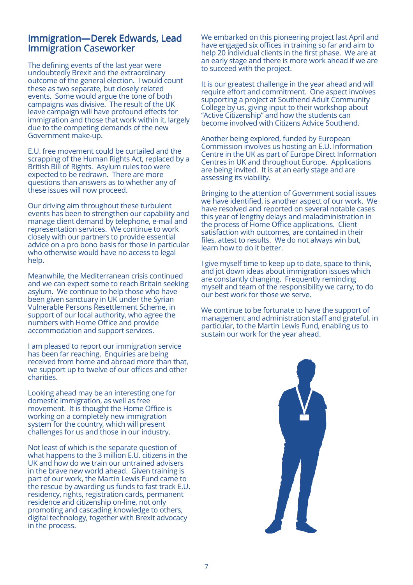## Immigration—Derek Edwards, Lead Immigration Caseworker

The defining events of the last year were undoubtedly Brexit and the extraordinary outcome of the general election. I would count these as two separate, but closely related events. Some would argue the tone of both campaigns was divisive. The result of the UK leave campaign will have profound effects for immigration and those that work within it, largely due to the competing demands of the new Government make-up.

E.U. free movement could be curtailed and the scrapping of the Human Rights Act, replaced by a British Bill of Rights. Asylum rules too were expected to be redrawn. There are more questions than answers as to whether any of these issues will now proceed.

Our driving aim throughout these turbulent events has been to strengthen our capability and manage client demand by telephone, e-mail and representation services. We continue to work closely with our partners to provide essential advice on a pro bono basis for those in particular who otherwise would have no access to legal help.

Meanwhile, the Mediterranean crisis continued and we can expect some to reach Britain seeking asylum. We continue to help those who have been given sanctuary in UK under the Syrian Vulnerable Persons Resettlement Scheme, in support of our local authority, who agree the numbers with Home Office and provide accommodation and support services.

I am pleased to report our immigration service has been far reaching. Enquiries are being received from home and abroad more than that, we support up to twelve of our offices and other charities.

Looking ahead may be an interesting one for domestic immigration, as well as free movement. It is thought the Home Office is working on a completely new immigration system for the country, which will present challenges for us and those in our industry.

Not least of which is the separate question of what happens to the 3 million E.U. citizens in the UK and how do we train our untrained advisers in the brave new world ahead. Given training is part of our work, the Martin Lewis Fund came to the rescue by awarding us funds to fast track E.U. residency, rights, registration cards, permanent residence and citizenship on-line, not only promoting and cascading knowledge to others, digital technology, together with Brexit advocacy in the process.

We embarked on this pioneering project last April and have engaged six offices in training so far and aim to help 20 individual clients in the first phase. We are at an early stage and there is more work ahead if we are to succeed with the project.

It is our greatest challenge in the year ahead and will require effort and commitment. One aspect involves supporting a project at Southend Adult Community College by us, giving input to their workshop about "Active Citizenship" and how the students can become involved with Citizens Advice Southend.

Another being explored, funded by European Commission involves us hosting an E.U. Information Centre in the UK as part of Europe Direct Information Centres in UK and throughout Europe. Applications are being invited. It is at an early stage and are assessing its viability.

Bringing to the attention of Government social issues we have identified, is another aspect of our work. We have resolved and reported on several notable cases this year of lengthy delays and maladministration in the process of Home Office applications. Client satisfaction with outcomes, are contained in their files, attest to results. We do not always win but, learn how to do it better.

I give myself time to keep up to date, space to think, and jot down ideas about immigration issues which are constantly changing. Frequently reminding myself and team of the responsibility we carry, to do our best work for those we serve.

We continue to be fortunate to have the support of management and administration staff and grateful, in particular, to the Martin Lewis Fund, enabling us to sustain our work for the year ahead.

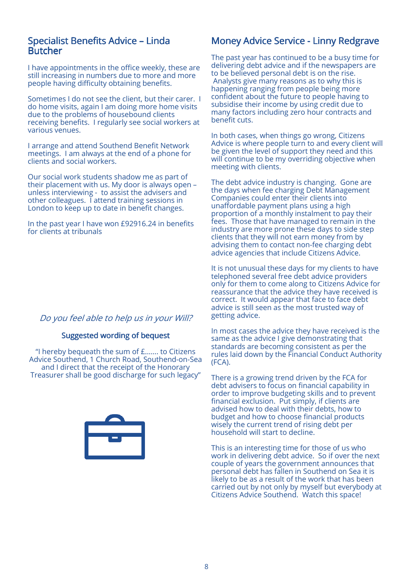#### Specialist Benefits Advice – Linda Butcher

I have appointments in the office weekly, these are still increasing in numbers due to more and more people having difficulty obtaining benefits.

Sometimes I do not see the client, but their carer. I do home visits, again I am doing more home visits due to the problems of housebound clients receiving benefits. I regularly see social workers at various venues.

I arrange and attend Southend Benefit Network meetings. I am always at the end of a phone for clients and social workers.

Our social work students shadow me as part of their placement with us. My door is always open – unless interviewing - to assist the advisers and other colleagues. I attend training sessions in London to keep up to date in benefit changes.

In the past year I have won £92916.24 in benefits for clients at tribunals

### Do you feel able to help us in your Will?

#### Suggested wording of bequest

"I hereby bequeath the sum of £……. to Citizens Advice Southend, 1 Church Road, Southend-on-Sea and I direct that the receipt of the Honorary Treasurer shall be good discharge for such legacy"



## Money Advice Service - Linny Redgrave

The past year has continued to be a busy time for delivering debt advice and if the newspapers are to be believed personal debt is on the rise. Analysts give many reasons as to why this is happening ranging from people being more confident about the future to people having to subsidise their income by using credit due to many factors including zero hour contracts and benefit cuts.

In both cases, when things go wrong, Citizens Advice is where people turn to and every client will be given the level of support they need and this will continue to be my overriding objective when meeting with clients.

The debt advice industry is changing. Gone are the days when fee charging Debt Management Companies could enter their clients into unaffordable payment plans using a high proportion of a monthly instalment to pay their fees. Those that have managed to remain in the industry are more prone these days to side step clients that they will not earn money from by advising them to contact non-fee charging debt advice agencies that include Citizens Advice.

It is not unusual these days for my clients to have telephoned several free debt advice providers only for them to come along to Citizens Advice for reassurance that the advice they have received is correct. It would appear that face to face debt advice is still seen as the most trusted way of getting advice.

In most cases the advice they have received is the same as the advice I give demonstrating that standards are becoming consistent as per the rules laid down by the Financial Conduct Authority (FCA).

There is a growing trend driven by the FCA for debt advisers to focus on financial capability in order to improve budgeting skills and to prevent financial exclusion. Put simply, if clients are advised how to deal with their debts, how to budget and how to choose financial products wisely the current trend of rising debt per household will start to decline.

This is an interesting time for those of us who work in delivering debt advice. So if over the next couple of years the government announces that personal debt has fallen in Southend on Sea it is likely to be as a result of the work that has been carried out by not only by myself but everybody at Citizens Advice Southend. Watch this space!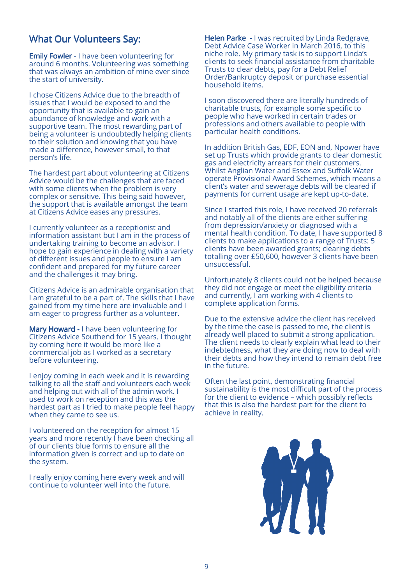## What Our Volunteers Say:

Emily Fowler - I have been volunteering for around 6 months. Volunteering was something that was always an ambition of mine ever since the start of university.

I chose Citizens Advice due to the breadth of issues that I would be exposed to and the opportunity that is available to gain an abundance of knowledge and work with a supportive team. The most rewarding part of being a volunteer is undoubtedly helping clients to their solution and knowing that you have made a difference, however small, to that person's life.

The hardest part about volunteering at Citizens Advice would be the challenges that are faced with some clients when the problem is very complex or sensitive. This being said however, the support that is available amongst the team at Citizens Advice eases any pressures.

I currently volunteer as a receptionist and information assistant but I am in the process of undertaking training to become an advisor. I hope to gain experience in dealing with a variety of different issues and people to ensure I am confident and prepared for my future career and the challenges it may bring.

Citizens Advice is an admirable organisation that I am grateful to be a part of. The skills that I have gained from my time here are invaluable and I am eager to progress further as a volunteer.

Mary Howard - I have been volunteering for Citizens Advice Southend for 15 years. I thought by coming here it would be more like a commercial job as I worked as a secretary before volunteering.

I enjoy coming in each week and it is rewarding talking to all the staff and volunteers each week and helping out with all of the admin work. I used to work on reception and this was the hardest part as I tried to make people feel happy when they came to see us.

I volunteered on the reception for almost 15 years and more recently I have been checking all of our clients blue forms to ensure all the information given is correct and up to date on the system.

I really enjoy coming here every week and will continue to volunteer well into the future.

Helen Parke - I was recruited by Linda Redgrave, Debt Advice Case Worker in March 2016, to this niche role. My primary task is to support Linda's clients to seek financial assistance from charitable Trusts to clear debts, pay for a Debt Relief Order/Bankruptcy deposit or purchase essential household items.

I soon discovered there are literally hundreds of charitable trusts, for example some specific to people who have worked in certain trades or professions and others available to people with particular health conditions.

In addition British Gas, EDF, EON and, Npower have set up Trusts which provide grants to clear domestic gas and electricity arrears for their customers. Whilst Anglian Water and Essex and Suffolk Water operate Provisional Award Schemes, which means a client's water and sewerage debts will be cleared if payments for current usage are kept up-to-date.

Since I started this role, I have received 20 referrals and notably all of the clients are either suffering from depression/anxiety or diagnosed with a mental health condition. To date, I have supported 8 clients to make applications to a range of Trusts: 5 clients have been awarded grants; clearing debts totalling over £50,600, however 3 clients have been unsuccessful.

Unfortunately 8 clients could not be helped because they did not engage or meet the eligibility criteria and currently, I am working with 4 clients to complete application forms.

Due to the extensive advice the client has received by the time the case is passed to me, the client is already well placed to submit a strong application. The client needs to clearly explain what lead to their indebtedness, what they are doing now to deal with their debts and how they intend to remain debt free in the future.

Often the last point, demonstrating financial sustainability is the most difficult part of the process for the client to evidence – which possibly reflects that this is also the hardest part for the client to achieve in reality.

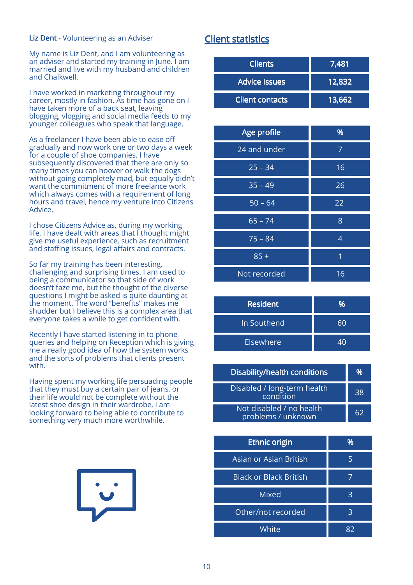#### Liz Dent - Volunteering as an Adviser

My name is Liz Dent, and I am volunteering as an adviser and started my training in June. I am married and live with my husband and children and Chalkwell.

I have worked in marketing throughout my career, mostly in fashion. As time has gone on I have taken more of a back seat, leaving blogging, vlogging and social media feeds to my younger colleagues who speak that language.

As a freelancer I have been able to ease off gradually and now work one or two days a week for a couple of shoe companies. I have subsequently discovered that there are only so many times you can hoover or walk the dogs without going completely mad, but equally didn't want the commitment of more freelance work which always comes with a requirement of long hours and travel, hence my venture into Citizens Advice.

I chose Citizens Advice as, during my working life, I have dealt with areas that I thought might give me useful experience, such as recruitment and staffing issues, legal affairs and contracts.

So far my training has been interesting, challenging and surprising times. I am used to being a communicator so that side of work doesn't faze me, but the thought of the diverse questions I might be asked is quite daunting at the moment. The word "benefits" makes me shudder but I believe this is a complex area that everyone takes a while to get confident with.

Recently I have started listening in to phone queries and helping on Reception which is giving me a really good idea of how the system works and the sorts of problems that clients present with.

Having spent my working life persuading people that they must buy a certain pair of jeans, or their life would not be complete without the latest shoe design in their wardrobe, I am looking forward to being able to contribute to something very much more worthwhile.



## **Client statistics**

| <b>Clients</b>         | 7,481  |
|------------------------|--------|
| <b>Advice Issues</b>   | 12,832 |
| <b>Client contacts</b> | 13,662 |

| Age profile  | %  |
|--------------|----|
| 24 and under | 7  |
| $25 - 34$    | 16 |
| $35 - 49$    | 26 |
| $50 - 64$    | 22 |
| $65 - 74$    | 8  |
| $75 - 84$    | 4  |
| $85 +$       | 1  |
| Not recorded | 16 |

| <b>Resident</b> | 0⁄۵ |
|-----------------|-----|
| In Southend     | 60  |
| Elsewhere       | 40  |

| <b>Disability/health conditions</b>            | %  |
|------------------------------------------------|----|
| Disabled / long-term health<br>condition       | 38 |
| Not disabled / no health<br>problems / unknown | 62 |

| <b>Ethnic origin</b>          | %  |
|-------------------------------|----|
| Asian or Asian British        | 5  |
| <b>Black or Black British</b> |    |
| <b>Mixed</b>                  | З  |
| Other/not recorded            | 3  |
| White                         | ጸን |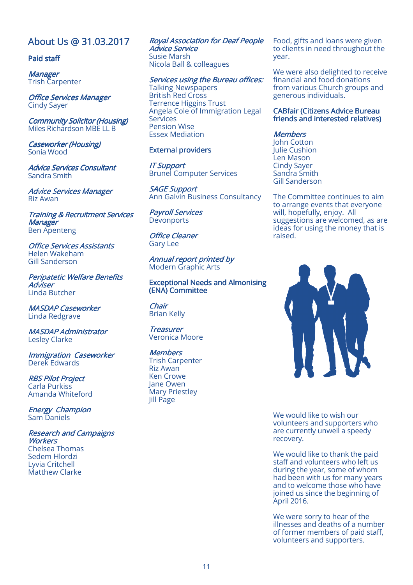## About Us @ 31.03.2017

#### Paid staff

**Manager** Trish Carpenter

Office Services Manager Cindy Sayer

**Community Solicitor (Housing)** Miles Richardson MBE LL B

Caseworker (Housing) Sonia Wood

Advice Services Consultant Sandra Smith

**Advice Services Manager** Riz Awan

**Training & Recruitment Services Manager** Ben Apenteng

**Office Services Assistants** Helen Wakeham Gill Sanderson

Peripatetic Welfare Benefits **Adviser** Linda Butcher

**MASDAP Caseworker** Linda Redgrave

**MASDAP Administrator** Lesley Clarke

Immigration Caseworker Derek Edwards

**RBS Pilot Project** Carla Purkiss Amanda Whiteford

**Energy Champion** Sam Daniels

Research and Campaigns Workers Chelsea Thomas Sedem Hlordzi Lyvia Critchell Matthew Clarke

Royal Association for Deaf People Advice Service Susie Marsh Nicola Ball & colleagues

Services using the Bureau offices: Talking Newspapers British Red Cross Terrence Higgins Trust Angela Cole of Immigration Legal **Services** Pension Wise Essex Mediation

#### External providers

IT Support IT Support Brunel Computer Services

**SAGE Support** Ann Galvin Business Consultancy

**Payroll Services Devonports** 

**Office Cleaner** Gary Lee

Annual report printed by Modern Graphic Arts

Exceptional Needs and Almonising (ENA) Committee

Chair Brian Kelly

**Treasurer** Veronica Moore

**Members** Trish Carpenter Riz Awan Ken Crowe Jane Owen Mary Priestley Jill Page

Food, gifts and loans were given to clients in need throughout the year.

We were also delighted to receive financial and food donations from various Church groups and generous individuals.

#### CABfair (Citizens Advice Bureau friends and interested relatives)

#### **Members**

John Cotton Julie Cushion Len Mason Cindy Sayer Sandra Smith Gill Sanderson

The Committee continues to aim to arrange events that everyone will, hopefully, enjoy. All suggestions are welcomed, as are ideas for using the money that is raised.



We would like to wish our volunteers and supporters who are currently unwell a speedy recovery.

We would like to thank the paid staff and volunteers who left us during the year, some of whom had been with us for many years and to welcome those who have joined us since the beginning of April 2016.

We were sorry to hear of the illnesses and deaths of a number of former members of paid staff, volunteers and supporters.